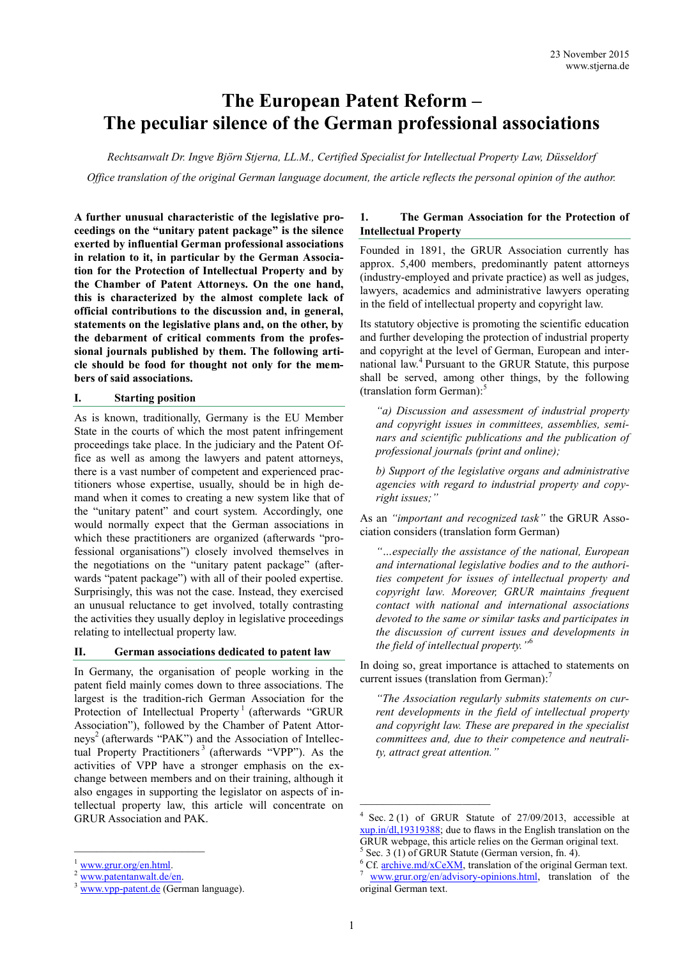# **The European Patent Reform – The peculiar silence of the German professional associations**

*Rechtsanwalt Dr. Ingve Björn Stjerna, LL.M., Certified Specialist for Intellectual Property Law, Düsseldorf Office translation of the original German language document, the article reflects the personal opinion of the author.*

**A further unusual characteristic of the legislative proceedings on the "unitary patent package" is the silence exerted by influential German professional associations in relation to it, in particular by the German Association for the Protection of Intellectual Property and by the Chamber of Patent Attorneys. On the one hand, this is characterized by the almost complete lack of official contributions to the discussion and, in general, statements on the legislative plans and, on the other, by the debarment of critical comments from the professional journals published by them. The following article should be food for thought not only for the members of said associations.**

#### **I. Starting position**

As is known, traditionally, Germany is the EU Member State in the courts of which the most patent infringement proceedings take place. In the judiciary and the Patent Office as well as among the lawyers and patent attorneys, there is a vast number of competent and experienced practitioners whose expertise, usually, should be in high demand when it comes to creating a new system like that of the "unitary patent" and court system. Accordingly, one would normally expect that the German associations in which these practitioners are organized (afterwards "professional organisations") closely involved themselves in the negotiations on the "unitary patent package" (afterwards "patent package") with all of their pooled expertise. Surprisingly, this was not the case. Instead, they exercised an unusual reluctance to get involved, totally contrasting the activities they usually deploy in legislative proceedings relating to intellectual property law.

#### **II. German associations dedicated to patent law**

In Germany, the organisation of people working in the patent field mainly comes down to three associations. The largest is the tradition-rich German Association for the Protection of Intellectual Property<sup>1</sup> (afterwards "GRUR Association"), followed by the Chamber of Patent Attorneys<sup>2</sup> (afterwards "PAK") and the Association of Intellectual Property Practitioners<sup>3</sup> (afterwards "VPP"). As the activities of VPP have a stronger emphasis on the exchange between members and on their training, although it also engages in supporting the legislator on aspects of intellectual property law, this article will concentrate on GRUR Association and PAK.

\_\_\_\_\_\_\_\_\_\_\_\_\_\_\_\_\_\_\_\_\_\_\_

## **1. The German Association for the Protection of Intellectual Property**

Founded in 1891, the GRUR Association currently has approx. 5,400 members, predominantly patent attorneys (industry-employed and private practice) as well as judges, lawyers, academics and administrative lawyers operating in the field of intellectual property and copyright law.

Its statutory objective is promoting the scientific education and further developing the protection of industrial property and copyright at the level of German, European and international law.<sup>4</sup> Pursuant to the GRUR Statute, this purpose shall be served, among other things, by the following (translation form German): 5

*"a) Discussion and assessment of industrial property and copyright issues in committees, assemblies, seminars and scientific publications and the publication of professional journals (print and online);*

*b) Support of the legislative organs and administrative agencies with regard to industrial property and copyright issues;"*

As an *"important and recognized task"* the GRUR Association considers (translation form German)

*"…especially the assistance of the national, European and international legislative bodies and to the authorities competent for issues of intellectual property and copyright law. Moreover, GRUR maintains frequent contact with national and international associations devoted to the same or similar tasks and participates in the discussion of current issues and developments in the field of intellectual property."* 6

In doing so, great importance is attached to statements on current issues (translation from German): 7

*"The Association regularly submits statements on current developments in the field of intellectual property and copyright law. These are prepared in the specialist committees and, due to their competence and neutrality, attract great attention."*

[www.grur.org/en.html.](http://www.grur.org/en.html)

[www.patentanwalt.de/en.](http://www.patentanwalt.de/en)

[www.vpp](http://www.vpp-patent.de/)-patent.de (German language).

<sup>4</sup> Sec. 2 (1) of GRUR Statute of 27/09/2013, accessible at [xup.in/dl,19319388;](https://xup.in/dl,19319388) due to flaws in the English translation on the GRUR webpage, this article relies on the German original text.  $5$  Sec. 3 (1) of GRUR Statute (German version, fn. 4).

<sup>&</sup>lt;sup>6</sup> Cf. [archive.md/xCeXM,](https://archive.md/xCeXM) translation of the original German text. [www.grur.org/en/advisory](http://www.grur.org/en/advisory-opinions.html)-opinions.html, translation of the original German text.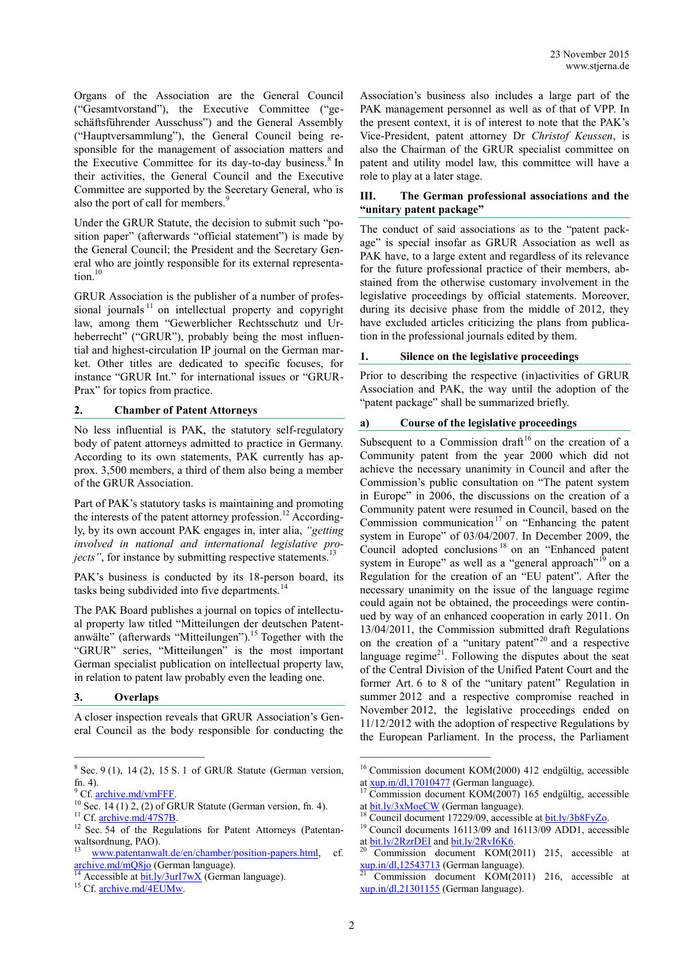Organs of the Association are the General Council ("Gesamtvorstand"), the Executive Committee ("geschäftsführender Ausschuss") and the General Assembly ("Hauptversammlung"), the General Council being responsible for the management of association matters and the Executive Committee for its day-to-day business.<sup>8</sup> In their activities, the General Council and the Executive Committee are supported by the Secretary General, who is also the port of call for members.<sup>9</sup>

Under the GRUR Statute, the decision to submit such "position paper" (afterwards "official statement") is made by the General Council; the President and the Secretary General who are jointly responsible for its external representation.<sup>10</sup>

GRUR Association is the publisher of a number of professional journals<sup> $11$ </sup> on intellectual property and copyright law, among them "Gewerblicher Rechtsschutz und Urheberrecht" ("GRUR"), probably being the most influential and highest-circulation IP journal on the German market. Other titles are dedicated to specific focuses, for instance "GRUR Int." for international issues or "GRUR-Prax" for topics from practice.

#### **2. Chamber of Patent Attorneys**

No less influential is PAK, the statutory self-regulatory body of patent attorneys admitted to practice in Germany. According to its own statements, PAK currently has approx. 3,500 members, a third of them also being a member of the GRUR Association.

Part of PAK's statutory tasks is maintaining and promoting the interests of the patent attorney profession.<sup>12</sup> Accordingly, by its own account PAK engages in, inter alia, *"getting involved in national and international legislative projects*", for instance by submitting respective statements.<sup>13</sup>

PAK's business is conducted by its 18-person board, its tasks being subdivided into five departments.<sup>14</sup>

The PAK Board publishes a journal on topics of intellectual property law titled "Mitteilungen der deutschen Patentanwälte" (afterwards "Mitteilungen"). <sup>15</sup> Together with the "GRUR" series, "Mitteilungen" is the most important German specialist publication on intellectual property law, in relation to patent law probably even the leading one.

## **3. Overlaps**

A closer inspection reveals that GRUR Association's General Council as the body responsible for conducting the Association's business also includes a large part of the PAK management personnel as well as of that of VPP. In the present context, it is of interest to note that the PAK's Vice-President, patent attorney Dr *Christof Keussen*, is also the Chairman of the GRUR specialist committee on patent and utility model law, this committee will have a role to play at a later stage.

## **III. The German professional associations and the "unitary patent package"**

The conduct of said associations as to the "patent package" is special insofar as GRUR Association as well as PAK have, to a large extent and regardless of its relevance for the future professional practice of their members, abstained from the otherwise customary involvement in the legislative proceedings by official statements. Moreover, during its decisive phase from the middle of 2012, they have excluded articles criticizing the plans from publication in the professional journals edited by them.

## **1. Silence on the legislative proceedings**

Prior to describing the respective (in)activities of GRUR Association and PAK, the way until the adoption of the "patent package" shall be summarized briefly.

# **a) Course of the legislative proceedings**

Subsequent to a Commission draft<sup>16</sup> on the creation of a Community patent from the year 2000 which did not achieve the necessary unanimity in Council and after the Commission's public consultation on "The patent system in Europe" in 2006, the discussions on the creation of a Community patent were resumed in Council, based on the Commission communication<sup>17</sup> on "Enhancing the patent" system in Europe" of 03/04/2007. In December 2009, the Council adopted conclusions<sup>18</sup> on an "Enhanced patent system in Europe" as well as a "general approach"<sup>19</sup> on a Regulation for the creation of an "EU patent". After the necessary unanimity on the issue of the language regime could again not be obtained, the proceedings were continued by way of an enhanced cooperation in early 2011. On 13/04/2011, the Commission submitted draft Regulations on the creation of a "unitary patent"<sup>20</sup> and a respective language regime $2<sup>1</sup>$ . Following the disputes about the seat of the Central Division of the Unified Patent Court and the former Art. 6 to 8 of the "unitary patent" Regulation in summer 2012 and a respective compromise reached in November 2012, the legislative proceedings ended on 11/12/2012 with the adoption of respective Regulations by the European Parliament. In the process, the Parliament

 $8$  Sec. 9 (1), 14 (2), 15 S. 1 of GRUR Statute (German version, fn.  $4$ ).

<sup>&</sup>lt;sup>9</sup> Cf. archive.md/vmFFF.

 $10$  Sec. 14 (1) 2, (2) of GRUR Statute (German version, fn. 4). <sup>11</sup> Cf. [archive.md/47S7B.](http://archive.md/47S7B)

<sup>&</sup>lt;sup>12</sup> Sec. 54 of the Regulations for Patent Attorneys (Patentanwaltsordnung, PAO).

[www.patentanwalt.de/en/chamber/position](www.patentanwalt.de/en/chamber/position-papers.html)-papers.html, cf. [archive.md/mQ8jo](https://archive.md/mQ8jo) (German language).

Accessible a[t bit.ly/3urI7wX](https://bit.ly/3urI7wX) (German language).

<sup>&</sup>lt;sup>15</sup> Cf. [archive.md/4EUMw.](https://archive.md/4EUMw)

<sup>16</sup> Commission document KOM(2000) 412 endgültig, accessible at [xup.in/dl,17010477](http://xup.in/dl,17010477) (German language).

Commission document KOM(2007) 165 endgültig, accessible at [bit.ly/3xMoeCW](https://bit.ly/3xMoeCW) (German language).

 $18$  Council document 17229/09, accessible at  $bit.1y/3b8FyZo$ .

<sup>&</sup>lt;sup>19</sup> Council documents 16113/09 and 16113/09 ADD1, accessible at  $\underline{bit}$ .ly/2RzrDEI and  $\underline{bit}$ .ly/2RvI6K6.

<sup>20</sup> Commission document KOM(2011) 215, accessible at  $xup.in/dl,12543713$  (German language).

Commission document KOM(2011) 216, accessible at [xup.in/dl,21301155](http://xup.in/dl,21301155) (German language).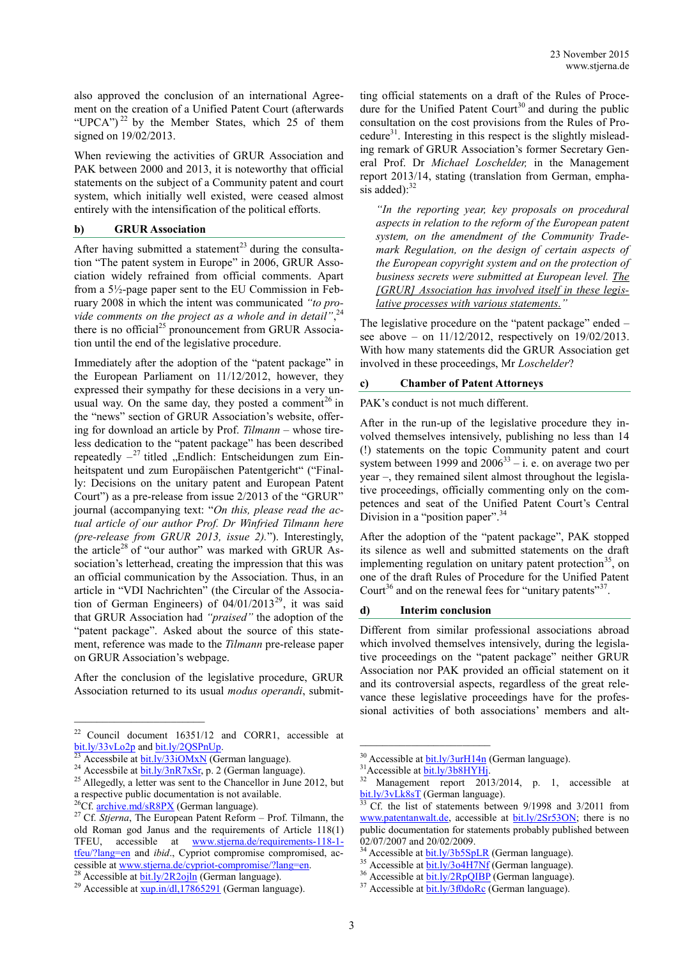also approved the conclusion of an international Agreement on the creation of a Unified Patent Court (afterwards "UPCA")<sup>22</sup> by the Member States, which  $25$  of them signed on 19/02/2013.

When reviewing the activities of GRUR Association and PAK between 2000 and 2013, it is noteworthy that official statements on the subject of a Community patent and court system, which initially well existed, were ceased almost entirely with the intensification of the political efforts.

#### **b) GRUR Association**

After having submitted a statement<sup>23</sup> during the consultation "The patent system in Europe" in 2006, GRUR Association widely refrained from official comments. Apart from a 5½-page paper sent to the EU Commission in February 2008 in which the intent was communicated *"to pro*vide comments on the project as a whole and in detail",<sup>24</sup> there is no official<sup>25</sup> pronouncement from GRUR Association until the end of the legislative procedure.

Immediately after the adoption of the "patent package" in the European Parliament on 11/12/2012, however, they expressed their sympathy for these decisions in a very unusual way. On the same day, they posted a comment<sup>26</sup> in the "news" section of GRUR Association's website, offering for download an article by Prof. *Tilmann* – whose tireless dedication to the "patent package" has been described repeatedly  $-$ <sup>27</sup> titled "Endlich: Entscheidungen zum Einheitspatent und zum Europäischen Patentgericht" ("Finally: Decisions on the unitary patent and European Patent Court") as a pre-release from issue 2/2013 of the "GRUR" journal (accompanying text: "*On this, please read the actual article of our author Prof. Dr Winfried Tilmann here (pre-release from GRUR 2013, issue 2).*"). Interestingly, the article<sup>28</sup> of "our author" was marked with GRUR Association's letterhead, creating the impression that this was an official communication by the Association. Thus, in an article in "VDI Nachrichten" (the Circular of the Association of German Engineers) of  $04/01/2013^{29}$ , it was said that GRUR Association had *"praised"* the adoption of the "patent package". Asked about the source of this statement, reference was made to the *Tilmann* pre-release paper on GRUR Association's webpage.

After the conclusion of the legislative procedure, GRUR Association returned to its usual *modus operandi*, submit-

\_\_\_\_\_\_\_\_\_\_\_\_\_\_\_\_\_\_\_\_\_\_\_

ting official statements on a draft of the Rules of Procedure for the Unified Patent Court<sup>30</sup> and during the public consultation on the cost provisions from the Rules of Procedure $31$ . Interesting in this respect is the slightly misleading remark of GRUR Association's former Secretary General Prof. Dr *Michael Loschelder,* in the Management report 2013/14, stating (translation from German, emphasis added): $32$ 

*"In the reporting year, key proposals on procedural aspects in relation to the reform of the European patent system, on the amendment of the Community Trademark Regulation, on the design of certain aspects of the European copyright system and on the protection of business secrets were submitted at European level. The [GRUR] Association has involved itself in these legislative processes with various statements."*

The legislative procedure on the "patent package" ended – see above – on 11/12/2012, respectively on 19/02/2013. With how many statements did the GRUR Association get involved in these proceedings, Mr *Loschelder*?

#### **c) Chamber of Patent Attorneys**

PAK's conduct is not much different.

After in the run-up of the legislative procedure they involved themselves intensively, publishing no less than 14 (!) statements on the topic Community patent and court system between 1999 and  $2006^{33} - i$ . e. on average two per year –, they remained silent almost throughout the legislative proceedings, officially commenting only on the competences and seat of the Unified Patent Court's Central Division in a "position paper".<sup>34</sup>

After the adoption of the "patent package", PAK stopped its silence as well and submitted statements on the draft implementing regulation on unitary patent protection<sup>35</sup>, on one of the draft Rules of Procedure for the Unified Patent Court<sup>36</sup> and on the renewal fees for "unitary patents"<sup>37</sup>.

#### **d) Interim conclusion**

Different from similar professional associations abroad which involved themselves intensively, during the legislative proceedings on the "patent package" neither GRUR Association nor PAK provided an official statement on it and its controversial aspects, regardless of the great relevance these legislative proceedings have for the professional activities of both associations' members and alt-

<sup>22</sup> Council document 16351/12 and CORR1, accessible at [bit.ly/33vLo2p](https://bit.ly/33vLo2p) an[d bit.ly/2QSPnUp.](https://bit.ly/2QSPnUp)

Accessbile a[t bit.ly/33iOMxN](http://bit.ly/33iOMxN) (German language).

 $^{24}$  Accessbile at  $\frac{\text{bit.ly/3nR7xSr}}{\text{bit.ly/3nR7xSr}}$ , p. 2 (German language).

 $^{25}$  Allegedly, a letter was sent to the Chancellor in June 2012, but a respective public documentation is not available.

 ${}^{26}Cf$ [. archive.md/sR8PX](http://archive.md/sR8PX) (German language).

<sup>27</sup> Cf. *Stjerna*, The European Patent Reform – Prof. Tilmann, the old Roman god Janus and the requirements of Article 118(1) TFEU, accessible at [www.stjerna.de/requirements-118-1](http://www.stjerna.de/requirements-118-1-tfeu/?lang=en) [tfeu/?lang=en](http://www.stjerna.de/requirements-118-1-tfeu/?lang=en) and *ibid*., Cypriot compromise compromised, accessible a[t www.stjerna.de/cypriot](http://www.stjerna.de/cypriot-compromise/?lang=en)-compromise/?lang=en.

<sup>&</sup>lt;sup>28</sup> Accessible at  $\frac{\text{bit}.\text{ly/2R2ojln}}{\text{German}}$  (German language).

<sup>&</sup>lt;sup>29</sup> Accessible at  $\frac{xup.in/dl,17865291}{29}$  (German language).

 $30$  Accessible at  $\frac{\text{bit.1y/3urH14n}}{100}$  (German language).

 $31\over 32$  Management report 201

Management report 2013/2014, p. 1, accessible at  $\underline{bit}.\underline{ly}/3vLk8sT$  (German language).

Cf. the list of statements between 9/1998 and 3/2011 from [www.patentanwalt.de,](http://www.patentanwalt.de/) accessible at [bit.ly/2Sr53ON;](https://bit.ly/2Sr53ON) there is no public documentation for statements probably published between 02/07/2007 and 20/02/2009.

<sup>&</sup>lt;sup>34</sup> Accessible at **bit.ly/3b5SpLR** (German language).

 $35$  Accessible at  $\frac{\text{bit.ly/304H7Nf}}{\text{bit.ly/304H7Nf}}$  (German language).

 $36$  Accessible at  $\frac{\text{bit.ly/2RpQIBP}}{\text{0.0000}}$  (German language).

 $37$  Accessible at  $\frac{\text{bit.ly/3f0doRc}}{\text{of} \cdot \text{C}$  (German language).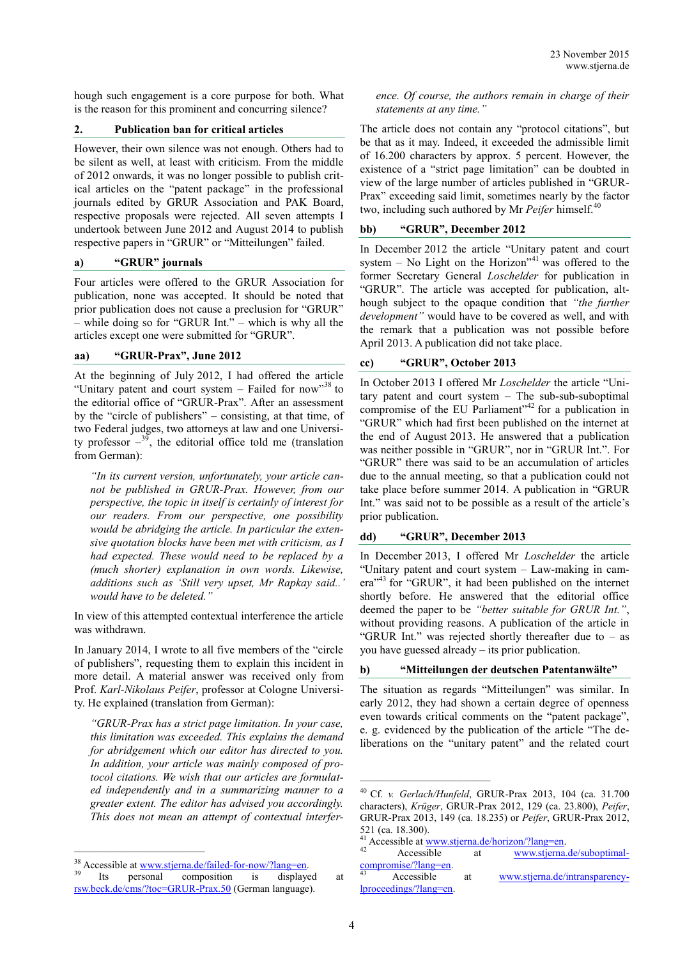hough such engagement is a core purpose for both. What is the reason for this prominent and concurring silence?

#### **2. Publication ban for critical articles**

However, their own silence was not enough. Others had to be silent as well, at least with criticism. From the middle of 2012 onwards, it was no longer possible to publish critical articles on the "patent package" in the professional journals edited by GRUR Association and PAK Board, respective proposals were rejected. All seven attempts I undertook between June 2012 and August 2014 to publish respective papers in "GRUR" or "Mitteilungen" failed.

#### **a) "GRUR" journals**

Four articles were offered to the GRUR Association for publication, none was accepted. It should be noted that prior publication does not cause a preclusion for "GRUR" – while doing so for "GRUR Int." – which is why all the articles except one were submitted for "GRUR".

#### **aa) "GRUR-Prax", June 2012**

At the beginning of July 2012, I had offered the article "Unitary patent and court system – Failed for now"<sup>38</sup> to the editorial office of "GRUR-Prax". After an assessment by the "circle of publishers" – consisting, at that time, of two Federal judges, two attorneys at law and one University professor  $-\frac{39}{9}$ , the editorial office told me (translation from German):

*"In its current version, unfortunately, your article cannot be published in GRUR-Prax. However, from our perspective, the topic in itself is certainly of interest for our readers. From our perspective, one possibility would be abridging the article. In particular the extensive quotation blocks have been met with criticism, as I had expected. These would need to be replaced by a (much shorter) explanation in own words. Likewise, additions such as 'Still very upset, Mr Rapkay said..' would have to be deleted."*

In view of this attempted contextual interference the article was withdrawn.

In January 2014, I wrote to all five members of the "circle of publishers", requesting them to explain this incident in more detail. A material answer was received only from Prof. *Karl-Nikolaus Peifer*, professor at Cologne University. He explained (translation from German):

*"GRUR-Prax has a strict page limitation. In your case, this limitation was exceeded. This explains the demand for abridgement which our editor has directed to you. In addition, your article was mainly composed of protocol citations. We wish that our articles are formulated independently and in a summarizing manner to a greater extent. The editor has advised you accordingly. This does not mean an attempt of contextual interfer-*

\_\_\_\_\_\_\_\_\_\_\_\_\_\_\_\_\_\_\_\_\_\_\_

*ence. Of course, the authors remain in charge of their statements at any time."*

The article does not contain any "protocol citations", but be that as it may. Indeed, it exceeded the admissible limit of 16.200 characters by approx. 5 percent. However, the existence of a "strict page limitation" can be doubted in view of the large number of articles published in "GRUR-Prax" exceeding said limit, sometimes nearly by the factor two, including such authored by Mr Peifer himself.<sup>40</sup>

## **bb) "GRUR", December 2012**

In December 2012 the article "Unitary patent and court system – No Light on the Horizon<sup> $n+1$ </sup> was offered to the former Secretary General *Loschelder* for publication in "GRUR". The article was accepted for publication, although subject to the opaque condition that *"the further development"* would have to be covered as well, and with the remark that a publication was not possible before April 2013. A publication did not take place.

## **cc) "GRUR", October 2013**

In October 2013 I offered Mr *Loschelder* the article "Unitary patent and court system – The sub-sub-suboptimal compromise of the EU Parliament<sup>32</sup> for a publication in "GRUR" which had first been published on the internet at the end of August 2013. He answered that a publication was neither possible in "GRUR", nor in "GRUR Int.". For "GRUR" there was said to be an accumulation of articles due to the annual meeting, so that a publication could not take place before summer 2014. A publication in "GRUR Int." was said not to be possible as a result of the article's prior publication.

## **dd) "GRUR", December 2013**

In December 2013, I offered Mr *Loschelder* the article "Unitary patent and court system – Law-making in camera"<sup>43</sup> for "GRUR", it had been published on the internet shortly before. He answered that the editorial office deemed the paper to be *"better suitable for GRUR Int."*, without providing reasons. A publication of the article in "GRUR Int." was rejected shortly thereafter due to  $-$  as you have guessed already – its prior publication.

## **b) "Mitteilungen der deutschen Patentanwälte"**

The situation as regards "Mitteilungen" was similar. In early 2012, they had shown a certain degree of openness even towards critical comments on the "patent package", e. g. evidenced by the publication of the article "The deliberations on the "unitary patent" and the related court

\_\_\_\_\_\_\_\_\_\_\_\_\_\_\_\_\_\_\_\_\_\_\_

<sup>&</sup>lt;sup>38</sup> Accessible at <u>www.stjerna.de/failed-for-now/?lang=en</u>.<br><sup>39</sup> Its personal composition is displayed

Its personal composition is displayed at [rsw.beck.de/cms/?toc=GRUR](https://rsw.beck.de/cms/?toc=GRUR-Prax.50)-Prax.50 (German language).

<sup>40</sup> Cf. *v. Gerlach/Hunfeld*, GRUR-Prax 2013, 104 (ca. 31.700 characters), *Krüger*, GRUR-Prax 2012, 129 (ca. 23.800), *Peifer*, GRUR-Prax 2013, 149 (ca. 18.235) or *Peifer*, GRUR-Prax 2012, 521 (ca. 18.300).

<sup>&</sup>lt;sup>41</sup> Accessible at [www.stjerna.de/horizon/?lang=en.](http://www.stjerna.de/horizon/?lang=en)

<sup>42</sup> Accessible at [www.stjerna.de/suboptimal](http://www.stjerna.de/suboptimal-compromise/?lang=en)[compromise/?lang=en.](http://www.stjerna.de/suboptimal-compromise/?lang=en)

Accessible at [www.stjerna.de/intransparency](http://www.stjerna.de/intransparency-lproceedings/?lang=en)[lproceedings/?lang=en.](http://www.stjerna.de/intransparency-lproceedings/?lang=en)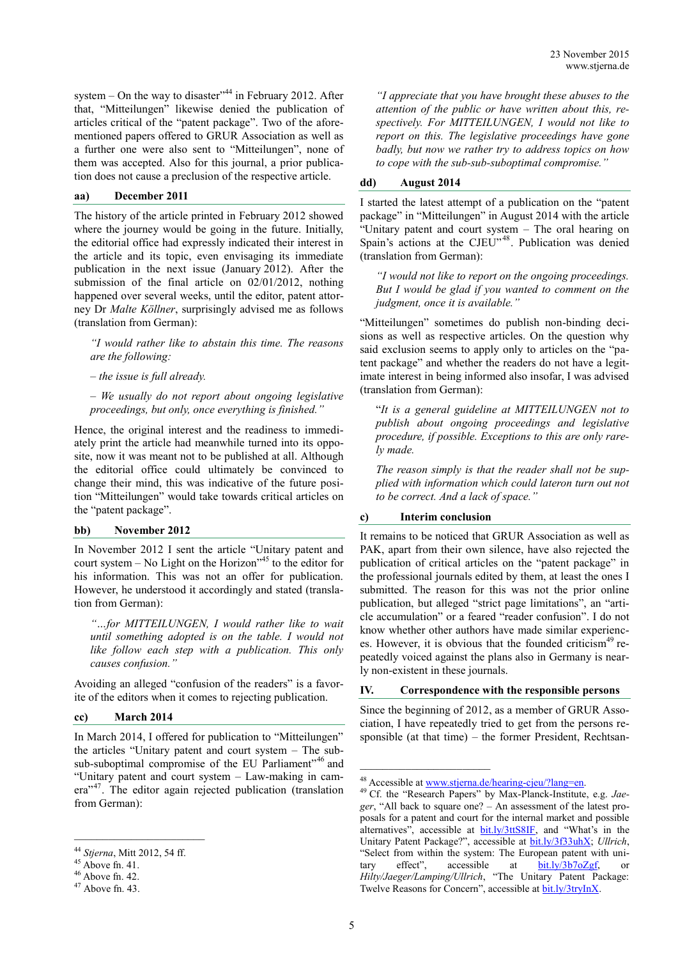system  $-$  On the way to disaster"<sup>44</sup> in February 2012. After that, "Mitteilungen" likewise denied the publication of articles critical of the "patent package". Two of the aforementioned papers offered to GRUR Association as well as a further one were also sent to "Mitteilungen", none of them was accepted. Also for this journal, a prior publication does not cause a preclusion of the respective article.

## **aa) December 2011**

The history of the article printed in February 2012 showed where the journey would be going in the future. Initially, the editorial office had expressly indicated their interest in the article and its topic, even envisaging its immediate publication in the next issue (January 2012). After the submission of the final article on 02/01/2012, nothing happened over several weeks, until the editor, patent attorney Dr *Malte Köllner*, surprisingly advised me as follows (translation from German):

*"I would rather like to abstain this time. The reasons are the following:*

*– the issue is full already.*

*– We usually do not report about ongoing legislative proceedings, but only, once everything is finished."*

Hence, the original interest and the readiness to immediately print the article had meanwhile turned into its opposite, now it was meant not to be published at all. Although the editorial office could ultimately be convinced to change their mind, this was indicative of the future position "Mitteilungen" would take towards critical articles on the "patent package".

#### **bb) November 2012**

In November 2012 I sent the article "Unitary patent and court system  $-$  No Light on the Horizon<sup> $145$ </sup> to the editor for his information. This was not an offer for publication. However, he understood it accordingly and stated (translation from German):

*"…for MITTEILUNGEN, I would rather like to wait until something adopted is on the table. I would not like follow each step with a publication. This only causes confusion."*

Avoiding an alleged "confusion of the readers" is a favorite of the editors when it comes to rejecting publication.

# **cc) March 2014**

In March 2014, I offered for publication to "Mitteilungen" the articles "Unitary patent and court system – The subsub-suboptimal compromise of the EU Parliament<sup>746</sup> and "Unitary patent and court system – Law-making in camera"<sup>47</sup>. The editor again rejected publication (translation from German):

 $\mathcal{L}_\text{max}$ 

*"I appreciate that you have brought these abuses to the attention of the public or have written about this, respectively. For MITTEILUNGEN, I would not like to report on this. The legislative proceedings have gone badly, but now we rather try to address topics on how to cope with the sub-sub-suboptimal compromise."*

# **dd) August 2014**

I started the latest attempt of a publication on the "patent package" in "Mitteilungen" in August 2014 with the article "Unitary patent and court system – The oral hearing on Spain's actions at the CJEU"<sup>48</sup>. Publication was denied (translation from German):

*"I would not like to report on the ongoing proceedings. But I would be glad if you wanted to comment on the judgment, once it is available."*

"Mitteilungen" sometimes do publish non-binding decisions as well as respective articles. On the question why said exclusion seems to apply only to articles on the "patent package" and whether the readers do not have a legitimate interest in being informed also insofar, I was advised (translation from German):

"*It is a general guideline at MITTEILUNGEN not to publish about ongoing proceedings and legislative procedure, if possible. Exceptions to this are only rarely made.*

*The reason simply is that the reader shall not be supplied with information which could lateron turn out not to be correct. And a lack of space."*

# **c) Interim conclusion**

It remains to be noticed that GRUR Association as well as PAK, apart from their own silence, have also rejected the publication of critical articles on the "patent package" in the professional journals edited by them, at least the ones I submitted. The reason for this was not the prior online publication, but alleged "strict page limitations", an "article accumulation" or a feared "reader confusion". I do not know whether other authors have made similar experiences. However, it is obvious that the founded criticism<sup>49</sup> repeatedly voiced against the plans also in Germany is nearly non-existent in these journals.

# **IV. Correspondence with the responsible persons**

Since the beginning of 2012, as a member of GRUR Association, I have repeatedly tried to get from the persons responsible (at that time) – the former President, Rechtsan-

\_\_\_\_\_\_\_\_\_\_\_\_\_\_\_\_\_\_\_\_\_\_\_

<sup>44</sup> *Stjerna*, Mitt 2012, 54 ff.

 $45$  Above fn. 41.

 $46$  Above fn. 42.

 $47$  Above fn. 43.

<sup>48</sup> Accessible at [www.stjerna.de/hearing](http://www.stjerna.de/hearing-cjeu/?lang=en)-cjeu/?lang=en.

<sup>49</sup> Cf. the "Research Papers" by Max-Planck-Institute, e.g. *Jaeger*, "All back to square one? – An assessment of the latest proposals for a patent and court for the internal market and possible alternatives", accessible at **bit.ly/3ttS8IF**, and "What's in the Unitary Patent Package?", accessible at [bit.ly/3f33uhX;](https://bit.ly/3f33uhX) *Ullrich*, "Select from within the system: The European patent with unitary effect", accessible at [bit.ly/3b7oZgf,](https://bit.ly/3b7oZgf) or *Hilty/Jaeger/Lamping/Ullrich*, "The Unitary Patent Package: Twelve Reasons for Concern", accessible at [bit.ly/3tryInX.](https://bit.ly/3tryInX)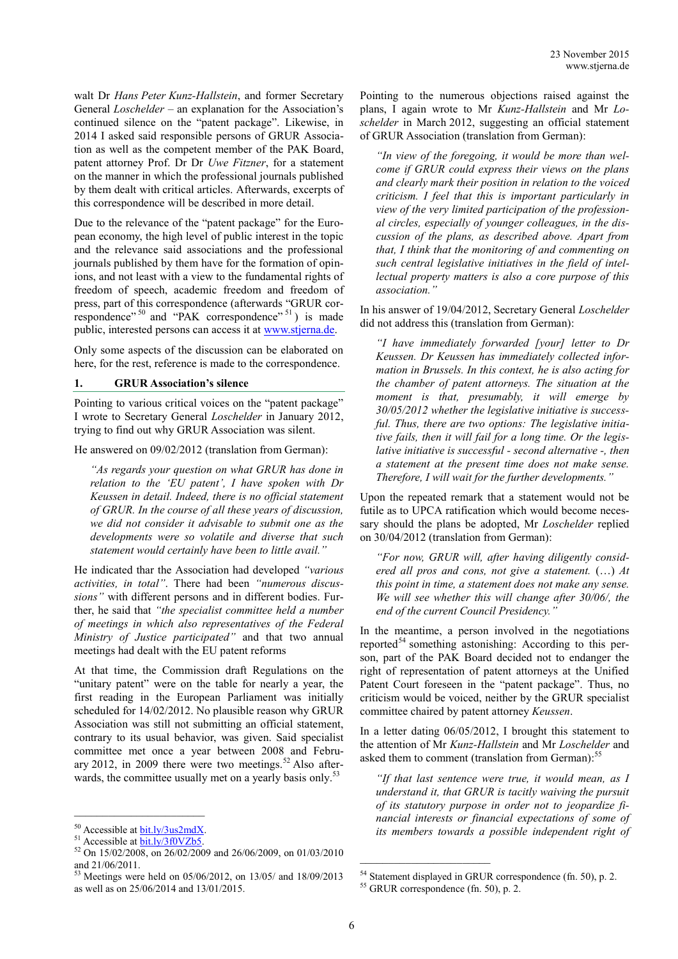walt Dr *Hans Peter Kunz-Hallstein*, and former Secretary General *Loschelder* – an explanation for the Association's continued silence on the "patent package". Likewise, in 2014 I asked said responsible persons of GRUR Association as well as the competent member of the PAK Board, patent attorney Prof. Dr Dr *Uwe Fitzner*, for a statement on the manner in which the professional journals published by them dealt with critical articles. Afterwards, excerpts of this correspondence will be described in more detail.

Due to the relevance of the "patent package" for the European economy, the high level of public interest in the topic and the relevance said associations and the professional journals published by them have for the formation of opinions, and not least with a view to the fundamental rights of freedom of speech, academic freedom and freedom of press, part of this correspondence (afterwards "GRUR correspondence"<sup>50</sup> and "PAK correspondence"<sup>51</sup>) is made public, interested persons can access it at [www.stjerna.de.](https://www.stjerna.de/silence-associations/?lang=en)

Only some aspects of the discussion can be elaborated on here, for the rest, reference is made to the correspondence.

## **1. GRUR Association's silence**

Pointing to various critical voices on the "patent package" I wrote to Secretary General *Loschelder* in January 2012, trying to find out why GRUR Association was silent.

He answered on 09/02/2012 (translation from German):

*"As regards your question on what GRUR has done in relation to the 'EU patent', I have spoken with Dr Keussen in detail. Indeed, there is no official statement of GRUR. In the course of all these years of discussion, we did not consider it advisable to submit one as the developments were so volatile and diverse that such statement would certainly have been to little avail."*

He indicated thar the Association had developed *"various activities, in total"*. There had been *"numerous discussions"* with different persons and in different bodies. Further, he said that *"the specialist committee held a number of meetings in which also representatives of the Federal Ministry of Justice participated"* and that two annual meetings had dealt with the EU patent reforms

At that time, the Commission draft Regulations on the "unitary patent" were on the table for nearly a year, the first reading in the European Parliament was initially scheduled for 14/02/2012. No plausible reason why GRUR Association was still not submitting an official statement, contrary to its usual behavior, was given. Said specialist committee met once a year between 2008 and February 2012, in 2009 there were two meetings.<sup>52</sup> Also afterwards, the committee usually met on a yearly basis only.<sup>53</sup>

Pointing to the numerous objections raised against the plans, I again wrote to Mr *Kunz-Hallstein* and Mr *Loschelder* in March 2012, suggesting an official statement of GRUR Association (translation from German):

*"In view of the foregoing, it would be more than welcome if GRUR could express their views on the plans and clearly mark their position in relation to the voiced criticism. I feel that this is important particularly in view of the very limited participation of the professional circles, especially of younger colleagues, in the discussion of the plans, as described above. Apart from that, I think that the monitoring of and commenting on such central legislative initiatives in the field of intellectual property matters is also a core purpose of this association."*

In his answer of 19/04/2012, Secretary General *Loschelder* did not address this (translation from German):

*"I have immediately forwarded [your] letter to Dr Keussen. Dr Keussen has immediately collected information in Brussels. In this context, he is also acting for the chamber of patent attorneys. The situation at the moment is that, presumably, it will emerge by 30/05/2012 whether the legislative initiative is successful. Thus, there are two options: The legislative initiative fails, then it will fail for a long time. Or the legislative initiative is successful - second alternative -, then a statement at the present time does not make sense. Therefore, I will wait for the further developments."*

Upon the repeated remark that a statement would not be futile as to UPCA ratification which would become necessary should the plans be adopted, Mr *Loschelder* replied on 30/04/2012 (translation from German):

*"For now, GRUR will, after having diligently considered all pros and cons, not give a statement.* (…) *At this point in time, a statement does not make any sense. We will see whether this will change after 30/06/, the end of the current Council Presidency."*

In the meantime, a person involved in the negotiations reported<sup>54</sup> something astonishing: According to this person, part of the PAK Board decided not to endanger the right of representation of patent attorneys at the Unified Patent Court foreseen in the "patent package". Thus, no criticism would be voiced, neither by the GRUR specialist committee chaired by patent attorney *Keussen*.

In a letter dating 06/05/2012, I brought this statement to the attention of Mr *Kunz-Hallstein* and Mr *Loschelder* and asked them to comment (translation from German):<sup>55</sup>

*"If that last sentence were true, it would mean, as I understand it, that GRUR is tacitly waiving the pursuit of its statutory purpose in order not to jeopardize financial interests or financial expectations of some of its members towards a possible independent right of* 

<sup>&</sup>lt;sup>50</sup> Accessible at **bit.ly/3us2mdX**.

 $51$  Accessible at  $\frac{\text{bit}.\text{ly/3f0VZb5}}{\text{bit}.\text{ly/3f0VZb5}}$ .

<sup>52</sup> On 15/02/2008, on 26/02/2009 and 26/06/2009, on 01/03/2010 and 21/06/2011.

 $53$  Meetings were held on 05/06/2012, on 13/05/ and 18/09/2013 as well as on 25/06/2014 and 13/01/2015.

<sup>&</sup>lt;sup>54</sup> Statement displayed in GRUR correspondence (fn. 50), p. 2.

<sup>55</sup> GRUR correspondence (fn. 50), p. 2.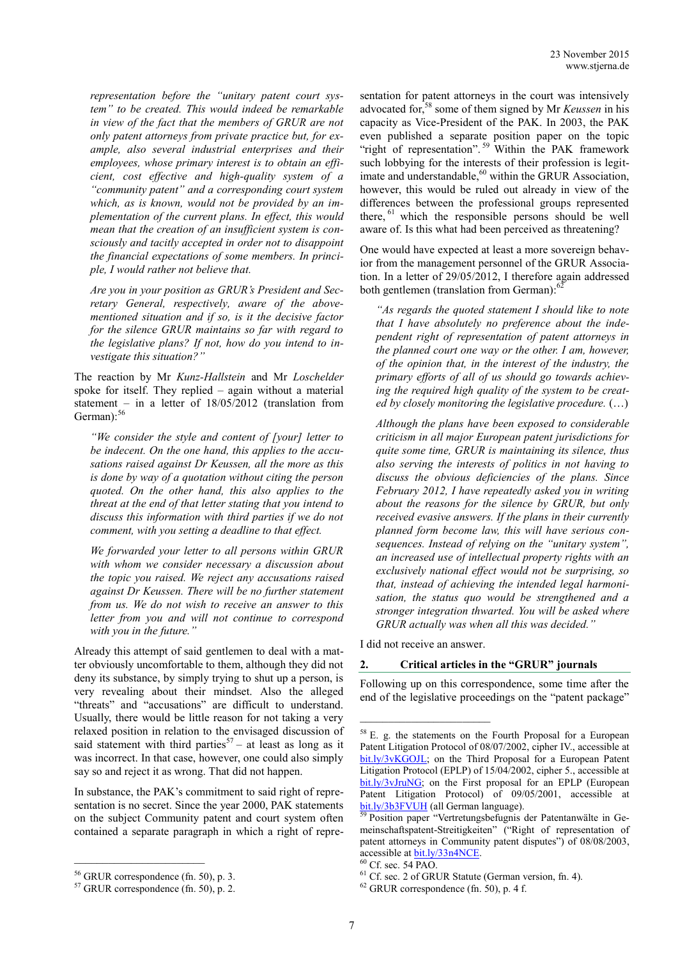*representation before the "unitary patent court system" to be created. This would indeed be remarkable in view of the fact that the members of GRUR are not only patent attorneys from private practice but, for example, also several industrial enterprises and their employees, whose primary interest is to obtain an efficient, cost effective and high-quality system of a "community patent" and a corresponding court system which, as is known, would not be provided by an implementation of the current plans. In effect, this would mean that the creation of an insufficient system is consciously and tacitly accepted in order not to disappoint the financial expectations of some members. In principle, I would rather not believe that.*

*Are you in your position as GRUR's President and Secretary General, respectively, aware of the abovementioned situation and if so, is it the decisive factor for the silence GRUR maintains so far with regard to the legislative plans? If not, how do you intend to investigate this situation?"*

The reaction by Mr *Kunz-Hallstein* and Mr *Loschelder* spoke for itself. They replied – again without a material statement – in a letter of 18/05/2012 (translation from German):<sup>56</sup>

*"We consider the style and content of [your] letter to be indecent. On the one hand, this applies to the accusations raised against Dr Keussen, all the more as this is done by way of a quotation without citing the person quoted. On the other hand, this also applies to the threat at the end of that letter stating that you intend to discuss this information with third parties if we do not comment, with you setting a deadline to that effect.*

*We forwarded your letter to all persons within GRUR with whom we consider necessary a discussion about the topic you raised. We reject any accusations raised against Dr Keussen. There will be no further statement from us. We do not wish to receive an answer to this letter from you and will not continue to correspond with you in the future."*

Already this attempt of said gentlemen to deal with a matter obviously uncomfortable to them, although they did not deny its substance, by simply trying to shut up a person, is very revealing about their mindset. Also the alleged "threats" and "accusations" are difficult to understand. Usually, there would be little reason for not taking a very relaxed position in relation to the envisaged discussion of said statement with third parties<sup>57</sup> – at least as long as it was incorrect. In that case, however, one could also simply say so and reject it as wrong. That did not happen.

In substance, the PAK's commitment to said right of representation is no secret. Since the year 2000, PAK statements on the subject Community patent and court system often contained a separate paragraph in which a right of representation for patent attorneys in the court was intensively advocated for,<sup>58</sup> some of them signed by Mr *Keussen* in his capacity as Vice-President of the PAK. In 2003, the PAK even published a separate position paper on the topic "right of representation".<sup>59</sup> Within the PAK framework such lobbying for the interests of their profession is legitimate and understandable,<sup>60</sup> within the GRUR Association, however, this would be ruled out already in view of the differences between the professional groups represented there, <sup>61</sup> which the responsible persons should be well aware of. Is this what had been perceived as threatening?

One would have expected at least a more sovereign behavior from the management personnel of the GRUR Association. In a letter of 29/05/2012, I therefore again addressed both gentlemen (translation from German):<sup>62</sup>

*"As regards the quoted statement I should like to note that I have absolutely no preference about the independent right of representation of patent attorneys in the planned court one way or the other. I am, however, of the opinion that, in the interest of the industry, the primary efforts of all of us should go towards achieving the required high quality of the system to be created by closely monitoring the legislative procedure.* (…)

*Although the plans have been exposed to considerable criticism in all major European patent jurisdictions for quite some time, GRUR is maintaining its silence, thus also serving the interests of politics in not having to discuss the obvious deficiencies of the plans. Since February 2012, I have repeatedly asked you in writing about the reasons for the silence by GRUR, but only received evasive answers. If the plans in their currently planned form become law, this will have serious consequences. Instead of relying on the "unitary system", an increased use of intellectual property rights with an exclusively national effect would not be surprising, so that, instead of achieving the intended legal harmonisation, the status quo would be strengthened and a stronger integration thwarted. You will be asked where GRUR actually was when all this was decided."*

I did not receive an answer.

\_\_\_\_\_\_\_\_\_\_\_\_\_\_\_\_\_\_\_\_\_\_\_

#### **2. Critical articles in the "GRUR" journals**

Following up on this correspondence, some time after the end of the legislative proceedings on the "patent package"

<sup>56</sup> GRUR correspondence (fn. 50), p. 3.

<sup>57</sup> GRUR correspondence (fn. 50), p. 2.

<sup>58</sup> E. g. the statements on the Fourth Proposal for a European Patent Litigation Protocol of 08/07/2002, cipher IV., accessible at [bit.ly/3vKGOJL;](https://bit.ly/3vKGOJL) on the Third Proposal for a European Patent Litigation Protocol (EPLP) of 15/04/2002, cipher 5., accessible at [bit.ly/3vJruNG;](https://bit.ly/3vJruNG) on the First proposal for an EPLP (European Patent Litigation Protocol) of 09/05/2001, accessible at [bit.ly/3b3FVUH](https://bit.ly/3b3FVUH) (all German language).

<sup>&</sup>lt;sup>59</sup> Position paper "Vertretungsbefugnis der Patentanwälte in Gemeinschaftspatent-Streitigkeiten" ("Right of representation of patent attorneys in Community patent disputes") of 08/08/2003, accessible a[t bit.ly/33n4NCE.](http://bit.ly/33n4NCE)

<sup>60</sup> Cf. sec. 54 PAO.

 $<sup>61</sup>$  Cf. sec. 2 of GRUR Statute (German version, fn. 4).</sup>

 $62$  GRUR correspondence (fn. 50), p. 4 f.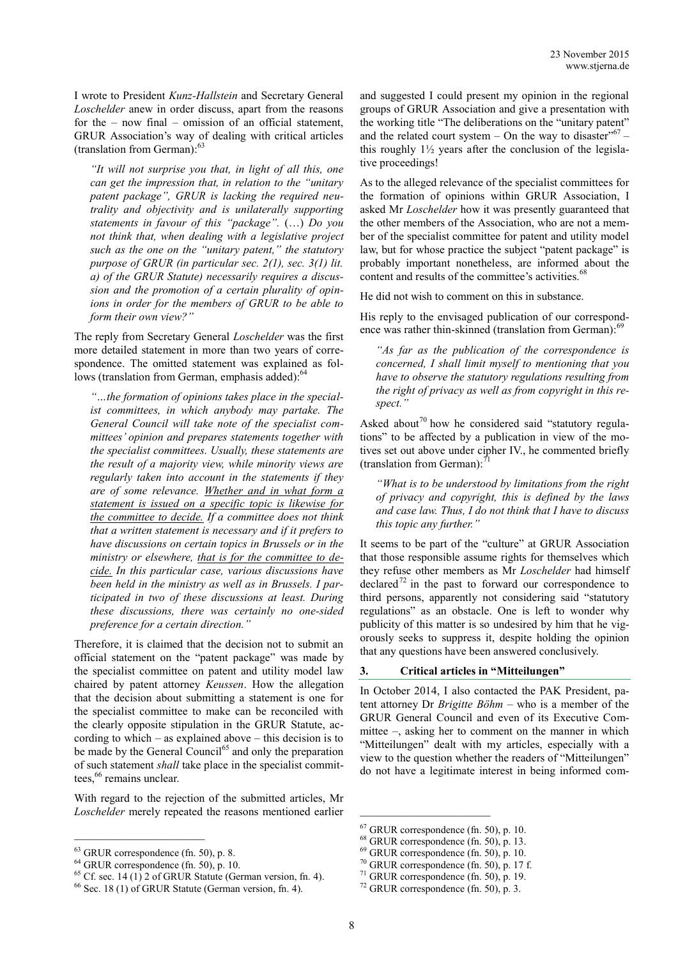I wrote to President *Kunz-Hallstein* and Secretary General *Loschelder* anew in order discuss, apart from the reasons for the – now final – omission of an official statement, GRUR Association's way of dealing with critical articles (translation from German): 63

*"It will not surprise you that, in light of all this, one can get the impression that, in relation to the "unitary patent package", GRUR is lacking the required neutrality and objectivity and is unilaterally supporting statements in favour of this "package".* (…) *Do you not think that, when dealing with a legislative project such as the one on the "unitary patent," the statutory purpose of GRUR (in particular sec. 2(1), sec. 3(1) lit. a) of the GRUR Statute) necessarily requires a discussion and the promotion of a certain plurality of opinions in order for the members of GRUR to be able to form their own view?"*

The reply from Secretary General *Loschelder* was the first more detailed statement in more than two years of correspondence. The omitted statement was explained as follows (translation from German, emphasis added):<sup>64</sup>

*"…the formation of opinions takes place in the specialist committees, in which anybody may partake. The General Council will take note of the specialist committees' opinion and prepares statements together with the specialist committees. Usually, these statements are the result of a majority view, while minority views are regularly taken into account in the statements if they are of some relevance. Whether and in what form a statement is issued on a specific topic is likewise for the committee to decide. If a committee does not think that a written statement is necessary and if it prefers to have discussions on certain topics in Brussels or in the ministry or elsewhere, that is for the committee to decide. In this particular case, various discussions have been held in the ministry as well as in Brussels. I participated in two of these discussions at least. During these discussions, there was certainly no one-sided preference for a certain direction."*

Therefore, it is claimed that the decision not to submit an official statement on the "patent package" was made by the specialist committee on patent and utility model law chaired by patent attorney *Keussen*. How the allegation that the decision about submitting a statement is one for the specialist committee to make can be reconciled with the clearly opposite stipulation in the GRUR Statute, according to which – as explained above – this decision is to be made by the General Council<sup>65</sup> and only the preparation of such statement *shall* take place in the specialist committees, <sup>66</sup> remains unclear.

With regard to the rejection of the submitted articles, Mr *Loschelder* merely repeated the reasons mentioned earlier

 $\mathcal{L}_\text{max}$ 

and suggested I could present my opinion in the regional groups of GRUR Association and give a presentation with the working title "The deliberations on the "unitary patent" and the related court system  $-$  On the way to disaster"<sup>67</sup>  $$ this roughly  $1\frac{1}{2}$  years after the conclusion of the legislative proceedings!

As to the alleged relevance of the specialist committees for the formation of opinions within GRUR Association, I asked Mr *Loschelder* how it was presently guaranteed that the other members of the Association, who are not a member of the specialist committee for patent and utility model law, but for whose practice the subject "patent package" is probably important nonetheless, are informed about the content and results of the committee's activities.<sup>68</sup>

He did not wish to comment on this in substance.

His reply to the envisaged publication of our correspondence was rather thin-skinned (translation from German):<sup>69</sup>

*"As far as the publication of the correspondence is concerned, I shall limit myself to mentioning that you have to observe the statutory regulations resulting from the right of privacy as well as from copyright in this respect."*

Asked about<sup>70</sup> how he considered said "statutory regulations" to be affected by a publication in view of the motives set out above under cipher IV., he commented briefly (translation from German): $^{71}$ 

*"What is to be understood by limitations from the right of privacy and copyright, this is defined by the laws and case law. Thus, I do not think that I have to discuss this topic any further."*

It seems to be part of the "culture" at GRUR Association that those responsible assume rights for themselves which they refuse other members as Mr *Loschelder* had himself declared<sup>72</sup> in the past to forward our correspondence to third persons, apparently not considering said "statutory regulations" as an obstacle. One is left to wonder why publicity of this matter is so undesired by him that he vigorously seeks to suppress it, despite holding the opinion that any questions have been answered conclusively.

## **3. Critical articles in "Mitteilungen"**

In October 2014, I also contacted the PAK President, patent attorney Dr *Brigitte Böhm* – who is a member of the GRUR General Council and even of its Executive Committee –, asking her to comment on the manner in which "Mitteilungen" dealt with my articles, especially with a view to the question whether the readers of "Mitteilungen" do not have a legitimate interest in being informed com-

 $63$  GRUR correspondence (fn. 50), p. 8.

 $64$  GRUR correspondence (fn. 50), p. 10.

 $65$  Cf. sec. 14 (1) 2 of GRUR Statute (German version, fn. 4).

<sup>66</sup> Sec. 18 (1) of GRUR Statute (German version, fn. 4).

<sup>67</sup> GRUR correspondence (fn. 50), p. 10.

<sup>68</sup> GRUR correspondence (fn. 50), p. 13.

<sup>69</sup> GRUR correspondence (fn. 50), p. 10.

 $70$  GRUR correspondence (fn. 50), p. 17 f.

 $71$  GRUR correspondence (fn. 50), p. 19.

<sup>72</sup> GRUR correspondence (fn. 50), p. 3.